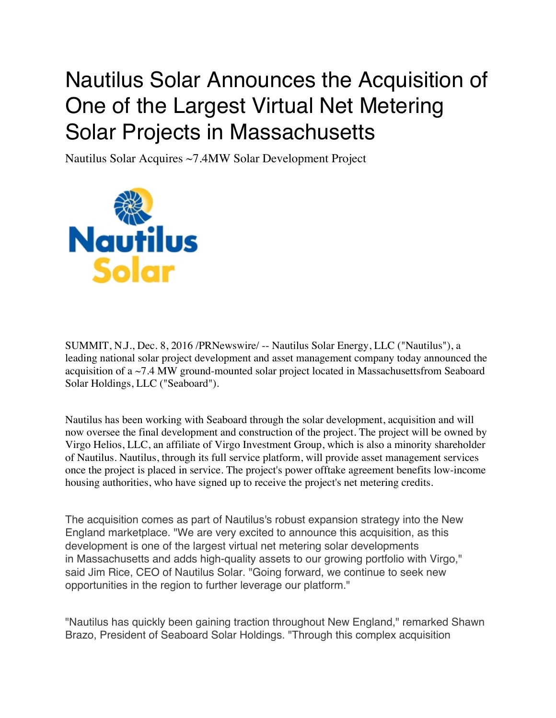## Nautilus Solar Announces the Acquisition of One of the Largest Virtual Net Metering Solar Projects in Massachusetts

Nautilus Solar Acquires ~7.4MW Solar Development Project



SUMMIT, N.J., Dec. 8, 2016 /PRNewswire/ -- Nautilus Solar Energy, LLC ("Nautilus"), a leading national solar project development and asset management company today announced the acquisition of a ~7.4 MW ground-mounted solar project located in Massachusettsfrom Seaboard Solar Holdings, LLC ("Seaboard").

Nautilus has been working with Seaboard through the solar development, acquisition and will now oversee the final development and construction of the project. The project will be owned by Virgo Helios, LLC, an affiliate of Virgo Investment Group, which is also a minority shareholder of Nautilus. Nautilus, through its full service platform, will provide asset management services once the project is placed in service. The project's power offtake agreement benefits low-income housing authorities, who have signed up to receive the project's net metering credits.

The acquisition comes as part of Nautilus's robust expansion strategy into the New England marketplace. "We are very excited to announce this acquisition, as this development is one of the largest virtual net metering solar developments in Massachusetts and adds high-quality assets to our growing portfolio with Virgo," said Jim Rice, CEO of Nautilus Solar. "Going forward, we continue to seek new opportunities in the region to further leverage our platform."

"Nautilus has quickly been gaining traction throughout New England," remarked Shawn Brazo, President of Seaboard Solar Holdings. "Through this complex acquisition